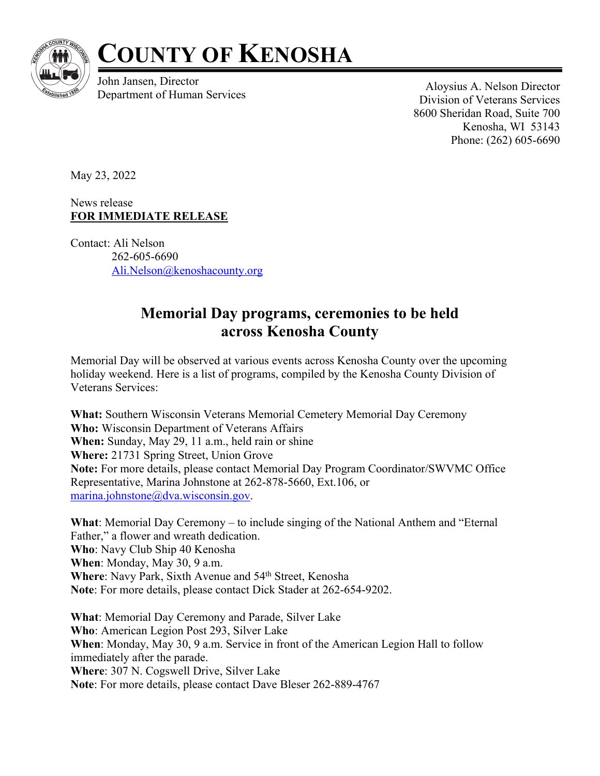

## **COUNTY OF KENOSHA**

John Jansen, Director France Aloysius A. Nelson Director<br>Department of Human Services Aloysius A. Nelson Director

Division of Veterans Services 8600 Sheridan Road, Suite 700 Kenosha, WI 53143 Phone: (262) 605-6690

May 23, 2022

News release **FOR IMMEDIATE RELEASE**

Contact: Ali Nelson 262-605-6690 Ali.Nelson@kenoshacounty.org

## **Memorial Day programs, ceremonies to be held across Kenosha County**

Memorial Day will be observed at various events across Kenosha County over the upcoming holiday weekend. Here is a list of programs, compiled by the Kenosha County Division of Veterans Services:

**What:** Southern Wisconsin Veterans Memorial Cemetery Memorial Day Ceremony **Who:** Wisconsin Department of Veterans Affairs **When:** Sunday, May 29, 11 a.m., held rain or shine **Where:** 21731 Spring Street, Union Grove **Note:** For more details, please contact Memorial Day Program Coordinator/SWVMC Office Representative, Marina Johnstone at 262-878-5660, Ext.106, or marina.johnstone@dva.wisconsin.gov.

**What**: Memorial Day Ceremony – to include singing of the National Anthem and "Eternal Father," a flower and wreath dedication. **Who**: Navy Club Ship 40 Kenosha **When**: Monday, May 30, 9 a.m. Where: Navy Park, Sixth Avenue and 54<sup>th</sup> Street, Kenosha **Note**: For more details, please contact Dick Stader at 262-654-9202.

**What**: Memorial Day Ceremony and Parade, Silver Lake **Who**: American Legion Post 293, Silver Lake **When**: Monday, May 30, 9 a.m. Service in front of the American Legion Hall to follow immediately after the parade. **Where**: 307 N. Cogswell Drive, Silver Lake **Note**: For more details, please contact Dave Bleser 262-889-4767